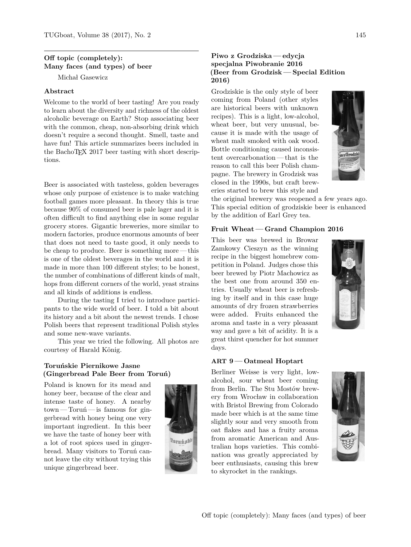# **Off topic (completely): Many faces (and types) of beer**

Michał Gasewicz

# **Abstract**

Welcome to the world of beer tasting! Are you ready to learn about the diversity and richness of the oldest alcoholic beverage on Earth? Stop associating beer with the common, cheap, non-absorbing drink which doesn't require a second thought. Smell, taste and have fun! This article summarizes beers included in the BachoTEX 2017 beer tasting with short descriptions.

Beer is associated with tasteless, golden beverages whose only purpose of existence is to make watching football games more pleasant. In theory this is true because 90% of consumed beer is pale lager and it is often difficult to find anything else in some regular grocery stores. Gigantic breweries, more similar to modern factories, produce enormous amounts of beer that does not need to taste good, it only needs to be cheap to produce. Beer is something more — this is one of the oldest beverages in the world and it is made in more than 100 different styles; to be honest, the number of combinations of different kinds of malt, hops from different corners of the world, yeast strains and all kinds of additions is endless.

During the tasting I tried to introduce participants to the wide world of beer. I told a bit about its history and a bit about the newest trends. I chose Polish beers that represent traditional Polish styles and some new-wave variants.

This year we tried the following. All photos are courtesy of Harald König.

# **Torunskie Piernikowe Jasne ´ (Gingerbread Pale Beer from Torun) ´**

Poland is known for its mead and honey beer, because of the clear and intense taste of honey. A nearby  $town-Toru\acute{n}$ — is famous for gingerbread with honey being one very important ingredient. In this beer we have the taste of honey beer with a lot of root spices used in gingerbread. Many visitors to Torun cannot leave the city without trying this unique gingerbread beer.



# **Piwo z Grodziska — edycja specjalna Piwobranie 2016 (Beer from Grodzisk — Special Edition 2016)**

Grodziskie is the only style of beer coming from Poland (other styles are historical beers with unknown recipes). This is a light, low-alcohol, wheat beer, but very unusual, because it is made with the usage of wheat malt smoked with oak wood. Bottle conditioning caused inconsistent overcarbonation— that is the reason to call this beer Polish champagne. The brewery in Grodzisk was closed in the 1990s, but craft breweries started to brew this style and



the original brewery was reopened a few years ago. This special edition of grodziskie beer is enhanced by the addition of Earl Grey tea.

#### **Fruit Wheat — Grand Champion 2016**

This beer was brewed in Browar Zamkowy Cieszyn as the winning recipe in the biggest homebrew competition in Poland. Judges chose this beer brewed by Piotr Machowicz as the best one from around 350 entries. Usually wheat beer is refreshing by itself and in this case huge amounts of dry frozen strawberries were added. Fruits enhanced the aroma and taste in a very pleasant way and gave a bit of acidity. It is a great thirst quencher for hot summer days.



# **ART 9 — Oatmeal Hoptart**

Berliner Weisse is very light, lowalcohol, sour wheat beer coming from Berlin. The Stu Mostów brewery from Wrocław in collaboration with Bristol Brewing from Colorado made beer which is at the same time slightly sour and very smooth from oat flakes and has a fruity aroma from aromatic American and Australian hops varieties. This combination was greatly appreciated by beer enthusiasts, causing this brew to skyrocket in the rankings.